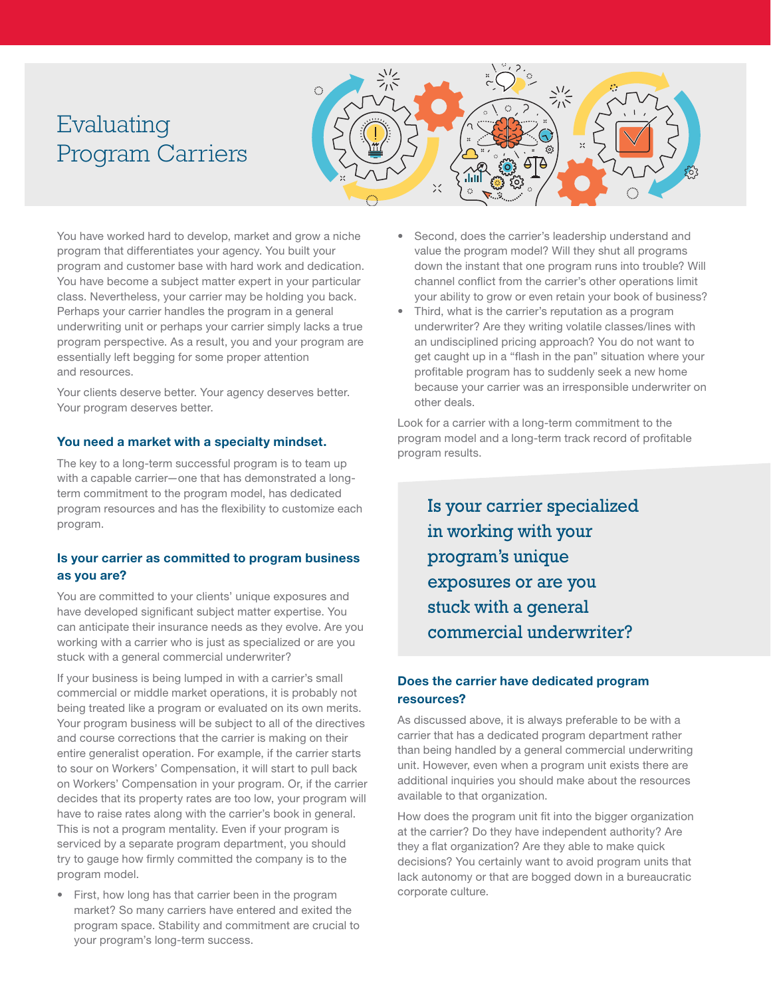# Evaluating Program Carriers



You have worked hard to develop, market and grow a niche program that differentiates your agency. You built your program and customer base with hard work and dedication. You have become a subject matter expert in your particular class. Nevertheless, your carrier may be holding you back. Perhaps your carrier handles the program in a general underwriting unit or perhaps your carrier simply lacks a true program perspective. As a result, you and your program are essentially left begging for some proper attention and resources.

Your clients deserve better. Your agency deserves better. Your program deserves better.

### You need a market with a specialty mindset.

The key to a long-term successful program is to team up with a capable carrier—one that has demonstrated a longterm commitment to the program model, has dedicated program resources and has the flexibility to customize each program.

## Is your carrier as committed to program business as you are?

You are committed to your clients' unique exposures and have developed significant subject matter expertise. You can anticipate their insurance needs as they evolve. Are you working with a carrier who is just as specialized or are you stuck with a general commercial underwriter?

If your business is being lumped in with a carrier's small commercial or middle market operations, it is probably not being treated like a program or evaluated on its own merits. Your program business will be subject to all of the directives and course corrections that the carrier is making on their entire generalist operation. For example, if the carrier starts to sour on Workers' Compensation, it will start to pull back on Workers' Compensation in your program. Or, if the carrier decides that its property rates are too low, your program will have to raise rates along with the carrier's book in general. This is not a program mentality. Even if your program is serviced by a separate program department, you should try to gauge how firmly committed the company is to the program model.

• First, how long has that carrier been in the program market? So many carriers have entered and exited the program space. Stability and commitment are crucial to your program's long-term success.

- Second, does the carrier's leadership understand and value the program model? Will they shut all programs down the instant that one program runs into trouble? Will channel conflict from the carrier's other operations limit your ability to grow or even retain your book of business?
- Third, what is the carrier's reputation as a program underwriter? Are they writing volatile classes/lines with an undisciplined pricing approach? You do not want to get caught up in a "flash in the pan" situation where your profitable program has to suddenly seek a new home because your carrier was an irresponsible underwriter on other deals.

Look for a carrier with a long-term commitment to the program model and a long-term track record of profitable program results.

Is your carrier specialized in working with your program's unique exposures or are you stuck with a general commercial underwriter?

# Does the carrier have dedicated program resources?

As discussed above, it is always preferable to be with a carrier that has a dedicated program department rather than being handled by a general commercial underwriting unit. However, even when a program unit exists there are additional inquiries you should make about the resources available to that organization.

How does the program unit fit into the bigger organization at the carrier? Do they have independent authority? Are they a flat organization? Are they able to make quick decisions? You certainly want to avoid program units that lack autonomy or that are bogged down in a bureaucratic corporate culture.